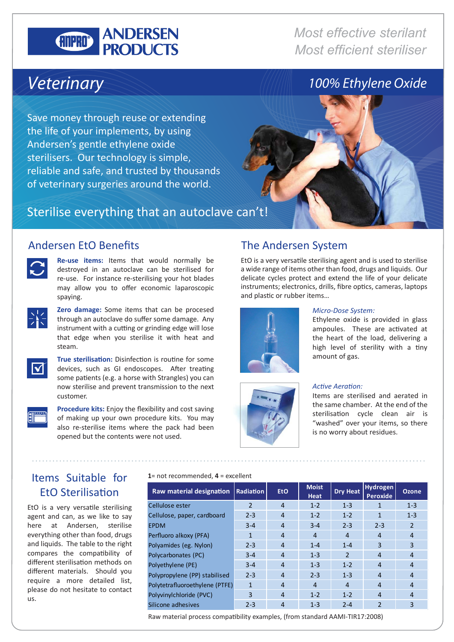#### **ANDERSEN GILLED PRODUCTS**

*Most effective sterilant Most efficient steriliser*

## *Veterinary*

Save money through reuse or extending the life of your implements, by using Andersen's gentle ethylene oxide sterilisers. Our technology is simple, reliable and safe, and trusted by thousands of veterinary surgeries around the world.





**Re-use items:** Items that would normally be destroyed in an autoclave can be sterilised for re-use. For instance re-sterilising your hot blades may allow you to offer economic laparoscopic spaying.



**Zero damage:** Some items that can be procesed through an autoclave do suffer some damage. Any instrument with a cutting or grinding edge will lose that edge when you sterilise it with heat and steam.



**True sterilisation:** Disinfection is routine for some devices, such as GI endoscopes. After treating some patients (e.g. a horse with Strangles) you can now sterilise and prevent transmission to the next customer.



**Procedure kits:** Enjoy the flexibility and cost saving of making up your own procedure kits. You may also re-sterilise items where the pack had been opened but the contents were not used.

### Andersen EtO Benefits The Andersen System

EtO is a very versatile sterilising agent and is used to sterilise a wide range of items other than food, drugs and liquids. Our delicate cycles protect and extend the life of your delicate instruments; electronics, drills, fibre optics, cameras, laptops and plastic or rubber items…





#### *Micro-Dose System:*

Ethylene oxide is provided in glass ampoules. These are activated at the heart of the load, delivering a high level of sterility with a tiny amount of gas.



Items are sterilised and aerated in the same chamber. At the end of the sterilisation cycle clean air is "washed" over your items, so there is no worry about residues.

#### Items Suitable for EtO Sterilisation

EtO is a very versatile sterilising agent and can, as we like to say here at Andersen, sterilise everything other than food, drugs and liquids. The table to the right compares the compatibility of different sterilisation methods on different materials. Should you require a more detailed list, please do not hesitate to contact us.

**1**= not recommended, **4** = excellent

| Raw material designation       | <b>Radiation</b> | <b>EtO</b>     | <b>Moist</b><br><b>Heat</b> | <b>Dry Heat</b> | <b>Hydrogen</b><br><b>Peroxide</b> | <b>Ozone</b>   |
|--------------------------------|------------------|----------------|-----------------------------|-----------------|------------------------------------|----------------|
| Cellulose ester                | $\mathcal{P}$    | $\overline{4}$ | $1 - 2$                     | $1 - 3$         | 1                                  | $1 - 3$        |
| Cellulose, paper, cardboard    | $2 - 3$          | $\overline{4}$ | $1 - 2$                     | $1 - 2$         | $\mathbf{1}$                       | $1 - 3$        |
| <b>EPDM</b>                    | $3 - 4$          | $\overline{4}$ | $3 - 4$                     | $2 - 3$         | $2 - 3$                            | $\overline{2}$ |
| Perfluoro alkoxy (PFA)         | 1                | $\overline{4}$ | $\overline{4}$              | $\overline{4}$  | 4                                  | $\overline{4}$ |
| Polyamides (eg. Nylon)         | $2 - 3$          | $\overline{4}$ | $1 - 4$                     | $1 - 4$         | 3                                  | 3              |
| Polycarbonates (PC)            | $3 - 4$          | $\overline{4}$ | $1 - 3$                     | $\mathfrak{p}$  | 4                                  | $\overline{4}$ |
| Polyethylene (PE)              | $3 - 4$          | $\overline{4}$ | $1 - 3$                     | $1 - 2$         | $\overline{4}$                     | $\overline{4}$ |
| Polypropylene (PP) stabilised  | $2 - 3$          | $\overline{4}$ | $2 - 3$                     | $1 - 3$         | 4                                  | $\overline{4}$ |
| Polytetrafluoroethylene (PTFE) | 1                | $\overline{4}$ | 4                           | $\overline{4}$  | 4                                  | $\overline{4}$ |
| Polyvinylchloride (PVC)        | 3                | $\overline{4}$ | $1 - 2$                     | $1 - 2$         | 4                                  | $\overline{4}$ |
| Silicone adhesives             | $2 - 3$          | $\overline{4}$ | $1 - 3$                     | $2 - 4$         | $\overline{2}$                     | 3              |

Raw material process compatibility examples, (from standard AAMI-TIR17:2008)